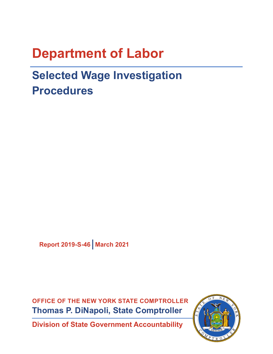# **Department of Labor**

# **Selected Wage Investigation Procedures**

**Report 2019-S-46 March 2021**

**OFFICE OF THE NEW YORK STATE COMPTROLLER Thomas P. DiNapoli, State Comptroller**

**Division of State Government Accountability**

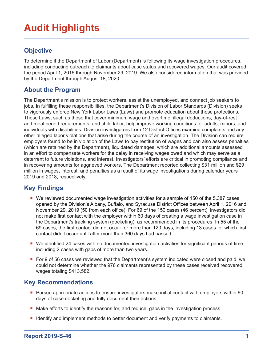# **Audit Highlights**

### **Objective**

To determine if the Department of Labor (Department) is following its wage investigation procedures, including conducting outreach to claimants about case status and recovered wages. Our audit covered the period April 1, 2016 through November 29, 2019. We also considered information that was provided by the Department through August 18, 2020.

#### **About the Program**

The Department's mission is to protect workers, assist the unemployed, and connect job seekers to jobs. In fulfilling these responsibilities, the Department's Division of Labor Standards (Division) seeks to vigorously enforce New York Labor Laws (Laws) and promote education about these protections. These Laws, such as those that cover minimum wage and overtime, illegal deductions, day-of-rest and meal period requirements, and child labor, help improve working conditions for adults, minors, and individuals with disabilities. Division investigators from 12 District Offices examine complaints and any other alleged labor violations that arise during the course of an investigation. The Division can require employers found to be in violation of the Laws to pay restitution of wages and can also assess penalties (which are retained by the Department), liquidated damages, which are additional amounts assessed in an effort to compensate workers for the delay in receiving wages owed and which may serve as a deterrent to future violations, and interest. Investigators' efforts are critical in promoting compliance and in recovering amounts for aggrieved workers. The Department reported collecting \$31 million and \$29 million in wages, interest, and penalties as a result of its wage investigations during calendar years 2019 and 2018, respectively.

### **Key Findings**

- We reviewed documented wage investigation activities for a sample of 150 of the 5,387 cases opened by the Division's Albany, Buffalo, and Syracuse District Offices between April 1, 2016 and November 29, 2019 (50 from each office). For 69 of the 150 cases (46 percent), investigators did not make first contact with the employer within 60 days of creating a wage investigation case in the Department's tracking system (docketing), as recommended in its procedures. In 55 of the 69 cases, the first contact did not occur for more than 120 days, including 13 cases for which first contact didn't occur until after more than 360 days had passed.
- We identified 24 cases with no documented investigation activities for significant periods of time, including 2 cases with gaps of more than two years.
- For 9 of 56 cases we reviewed that the Department's system indicated were closed and paid, we could not determine whether the 976 claimants represented by these cases received recovered wages totaling \$413,582.

#### **Key Recommendations**

- **Pursue appropriate actions to ensure investigators make initial contact with employers within 60** days of case docketing and fully document their actions.
- Make efforts to identify the reasons for, and reduce, gaps in the investigation process.
- I dentify and implement methods to better document and verify payments to claimants.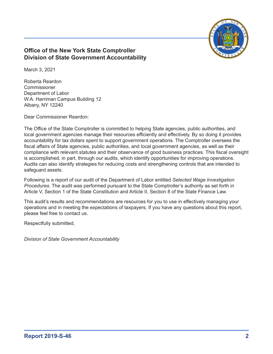

#### **Office of the New York State Comptroller Division of State Government Accountability**

March 3, 2021

Roberta Reardon Commissioner Department of Labor W.A. Harriman Campus Building 12 Albany, NY 12240

Dear Commissioner Reardon:

The Office of the State Comptroller is committed to helping State agencies, public authorities, and local government agencies manage their resources efficiently and effectively. By so doing it provides accountability for tax dollars spent to support government operations. The Comptroller oversees the fiscal affairs of State agencies, public authorities, and local government agencies, as well as their compliance with relevant statutes and their observance of good business practices. This fiscal oversight is accomplished, in part, through our audits, which identify opportunities for improving operations. Audits can also identify strategies for reducing costs and strengthening controls that are intended to safeguard assets.

Following is a report of our audit of the Department of Labor entitled *Selected Wage Investigation Procedures*. The audit was performed pursuant to the State Comptroller's authority as set forth in Article V, Section 1 of the State Constitution and Article II, Section 8 of the State Finance Law.

This audit's results and recommendations are resources for you to use in effectively managing your operations and in meeting the expectations of taxpayers. If you have any questions about this report, please feel free to contact us.

Respectfully submitted,

*Division of State Government Accountability*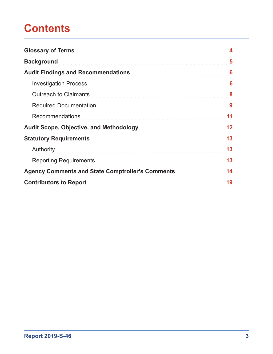# **Contents**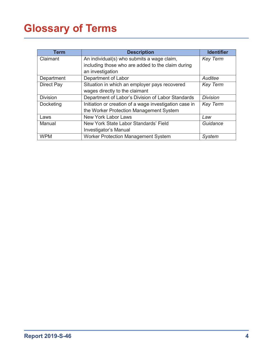# <span id="page-4-0"></span>**Glossary of Terms**

| Term              | <b>Description</b>                                     | <b>Identifier</b> |
|-------------------|--------------------------------------------------------|-------------------|
| Claimant          | An individual(s) who submits a wage claim,             | <b>Key Term</b>   |
|                   | including those who are added to the claim during      |                   |
|                   | an investigation                                       |                   |
| Department        | Department of Labor                                    | Auditee           |
| <b>Direct Pay</b> | Situation in which an employer pays recovered          | <b>Key Term</b>   |
|                   | wages directly to the claimant                         |                   |
| <b>Division</b>   | Department of Labor's Division of Labor Standards      | <b>Division</b>   |
| Docketing         | Initiation or creation of a wage investigation case in | <b>Key Term</b>   |
|                   | the Worker Protection Management System                |                   |
| Laws              | <b>New York Labor Laws</b>                             | Law               |
| Manual            | New York State Labor Standards' Field                  | Guidance          |
|                   | Investigator's Manual                                  |                   |
| <b>WPM</b>        | <b>Worker Protection Management System</b>             | <b>System</b>     |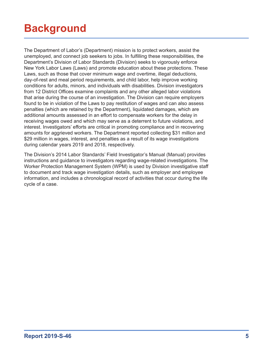# <span id="page-5-0"></span>**Background**

The Department of Labor's (Department) mission is to protect workers, assist the unemployed, and connect job seekers to jobs. In fulfilling these responsibilities, the Department's Division of Labor Standards (Division) seeks to vigorously enforce New York Labor Laws (Laws) and promote education about these protections. These Laws, such as those that cover minimum wage and overtime, illegal deductions, day-of-rest and meal period requirements, and child labor, help improve working conditions for adults, minors, and individuals with disabilities. Division investigators from 12 District Offices examine complaints and any other alleged labor violations that arise during the course of an investigation. The Division can require employers found to be in violation of the Laws to pay restitution of wages and can also assess penalties (which are retained by the Department), liquidated damages, which are additional amounts assessed in an effort to compensate workers for the delay in receiving wages owed and which may serve as a deterrent to future violations, and interest. Investigators' efforts are critical in promoting compliance and in recovering amounts for aggrieved workers. The Department reported collecting \$31 million and \$29 million in wages, interest, and penalties as a result of its wage investigations during calendar years 2019 and 2018, respectively.

The Division's 2014 Labor Standards' Field Investigator's Manual (Manual) provides instructions and guidance to investigators regarding wage-related investigations. The Worker Protection Management System (WPM) is used by Division investigative staff to document and track wage investigation details, such as employer and employee information, and includes a chronological record of activities that occur during the life cycle of a case.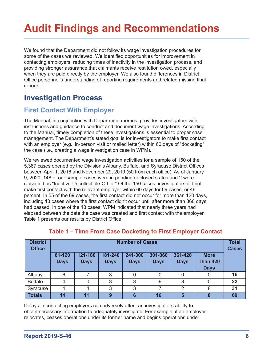# <span id="page-6-0"></span>**Audit Findings and Recommendations**

We found that the Department did not follow its wage investigation procedures for some of the cases we reviewed. We identified opportunities for improvement in contacting employers, reducing times of inactivity in the investigation process, and providing stronger assurance that claimants receive restitution owed, especially when they are paid directly by the employer. We also found differences in District Office personnel's understanding of reporting requirements and related missing final reports.

## **Investigation Process**

### **First Contact With Employer**

The Manual, in conjunction with Department memos, provides investigators with instructions and guidance to conduct and document wage investigations. According to the Manual, timely completion of these investigations is essential to proper case management. The Department's stated goal is for investigators to make first contact with an employer (e.g., in-person visit or mailed letter) within 60 days of "docketing" the case (i.e., creating a wage investigation case in WPM).

We reviewed documented wage investigation activities for a sample of 150 of the 5,387 cases opened by the Division's Albany, Buffalo, and Syracuse District Offices between April 1, 2016 and November 29, 2019 (50 from each office). As of January 9, 2020, 148 of our sample cases were in pending or closed status and 2 were classified as "Inactive-Uncollectible-Other." Of the 150 cases, investigators did not make first contact with the relevant employer within 60 days for 69 cases, or 46 percent. In 55 of the 69 cases, the first contact did not occur for more than 120 days, including 13 cases where the first contact didn't occur until after more than 360 days had passed. In one of the 13 cases, WPM indicated that nearly three years had elapsed between the date the case was created and first contact with the employer. Table 1 presents our results by District Office.

| <b>District</b><br><b>Office</b> | <b>Number of Cases</b> |                        |                        |                        |                        |                        |                                               | <b>Total</b><br><b>Cases</b> |
|----------------------------------|------------------------|------------------------|------------------------|------------------------|------------------------|------------------------|-----------------------------------------------|------------------------------|
|                                  | 61-120<br><b>Days</b>  | 121-180<br><b>Days</b> | 181-240<br><b>Days</b> | 241-300<br><b>Days</b> | 301-360<br><b>Days</b> | 361-420<br><b>Days</b> | <b>More</b><br><b>Than 420</b><br><b>Days</b> |                              |
| Albany                           | 6                      |                        | 3                      |                        | 0                      |                        | 0                                             | 16                           |
| <b>Buffalo</b>                   | 4                      | 0                      | 3                      | 3                      | 9                      | 3                      | 0                                             | 22                           |
| Syracuse                         | 4                      | 4                      | 3                      | 3                      |                        | $\mathcal{P}$          | 8                                             | 31                           |
| <b>Totals</b>                    | 14                     | 11                     | 9                      |                        | 16                     | 5                      |                                               | 69                           |

#### **Table 1 – Time From Case Docketing to First Employer Contact**

Delays in contacting employers can adversely affect an investigator's ability to obtain necessary information to adequately investigate. For example, if an employer relocates, ceases operations under its former name and begins operations under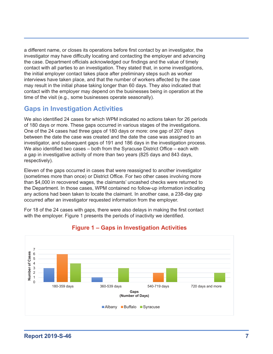a different name, or closes its operations before first contact by an investigator, the investigator may have difficulty locating and contacting the employer and advancing the case. Department officials acknowledged our findings and the value of timely contact with all parties to an investigation. They stated that, in some investigations, the initial employer contact takes place after preliminary steps such as worker interviews have taken place, and that the number of workers affected by the case may result in the initial phase taking longer than 60 days. They also indicated that contact with the employer may depend on the businesses being in operation at the time of the visit (e.g., some businesses operate seasonally).

### **Gaps in Investigation Activities**

We also identified 24 cases for which WPM indicated no actions taken for 26 periods of 180 days or more. These gaps occurred in various stages of the investigations. One of the 24 cases had three gaps of 180 days or more: one gap of 207 days between the date the case was created and the date the case was assigned to an investigator, and subsequent gaps of 191 and 186 days in the investigation process. We also identified two cases – both from the Syracuse District Office – each with a gap in investigative activity of more than two years (825 days and 843 days, respectively).

Eleven of the gaps occurred in cases that were reassigned to another investigator (sometimes more than once) or District Office. For two other cases involving more than \$4,000 in recovered wages, the claimants' uncashed checks were returned to the Department. In those cases, WPM contained no follow-up information indicating any actions had been taken to locate the claimant. In another case, a 238-day gap occurred after an investigator requested information from the employer.

For 18 of the 24 cases with gaps, there were also delays in making the first contact with the employer. Figure 1 presents the periods of inactivity we identified.



#### **Figure 1 – Gaps in Investigation Activities**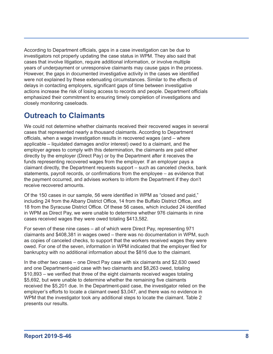<span id="page-8-0"></span>According to Department officials, gaps in a case investigation can be due to investigators not properly updating the case status in WPM. They also said that cases that involve litigation, require additional information, or involve multiple years of underpayment or unresponsive claimants may cause gaps in the process. However, the gaps in documented investigative activity in the cases we identified were not explained by these extenuating circumstances. Similar to the effects of delays in contacting employers, significant gaps of time between investigative actions increase the risk of losing access to records and people. Department officials emphasized their commitment to ensuring timely completion of investigations and closely monitoring caseloads.

## **Outreach to Claimants**

We could not determine whether claimants received their recovered wages in several cases that represented nearly a thousand claimants. According to Department officials, when a wage investigation results in recovered wages (and – where applicable – liquidated damages and/or interest) owed to a claimant, and the employer agrees to comply with this determination, the claimants are paid either directly by the employer (Direct Pay) or by the Department after it receives the funds representing recovered wages from the employer. If an employer pays a claimant directly, the Department requests support – such as canceled checks, bank statements, payroll records, or confirmations from the employee – as evidence that the payment occurred, and advises workers to inform the Department if they don't receive recovered amounts.

Of the 150 cases in our sample, 56 were identified in WPM as "closed and paid," including 24 from the Albany District Office, 14 from the Buffalo District Office, and 18 from the Syracuse District Office. Of these 56 cases, which included 24 identified in WPM as Direct Pay, we were unable to determine whether 976 claimants in nine cases received wages they were owed totaling \$413,582.

For seven of these nine cases – all of which were Direct Pay, representing 971 claimants and \$408,381 in wages owed – there was no documentation in WPM, such as copies of canceled checks, to support that the workers received wages they were owed. For one of the seven, information in WPM indicated that the employer filed for bankruptcy with no additional information about the \$816 due to the claimant.

In the other two cases – one Direct Pay case with six claimants and \$2,630 owed and one Department-paid case with two claimants and \$8,263 owed, totaling \$10,893 – we verified that three of the eight claimants received wages totaling \$5,692, but were unable to determine whether the remaining five claimants received the \$5,201 due. In the Department-paid case, the investigator relied on the employer's efforts to locate a claimant owed \$3,047, and there was no evidence in WPM that the investigator took any additional steps to locate the claimant. Table 2 presents our results.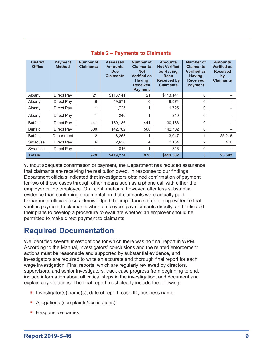<span id="page-9-0"></span>

| <b>District</b><br><b>Office</b> | <b>Payment</b><br><b>Method</b> | Number of<br><b>Claimants</b> | <b>Assessed</b><br><b>Amounts</b><br><b>Due</b><br><b>Claimants</b> | <b>Number of</b><br><b>Claimants</b><br><b>Not</b><br><b>Verified as</b><br><b>Having</b><br><b>Received</b><br><b>Payment</b> | <b>Amounts</b><br><b>Not Verified</b><br>as Having<br><b>Been</b><br><b>Received by</b><br><b>Claimants</b> | Number of<br><b>Claimants</b><br><b>Verified as</b><br><b>Having</b><br><b>Received</b><br><b>Payment</b> | <b>Amounts</b><br><b>Verified as</b><br><b>Received</b><br>by<br><b>Claimants</b> |
|----------------------------------|---------------------------------|-------------------------------|---------------------------------------------------------------------|--------------------------------------------------------------------------------------------------------------------------------|-------------------------------------------------------------------------------------------------------------|-----------------------------------------------------------------------------------------------------------|-----------------------------------------------------------------------------------|
| Albany                           | Direct Pay                      | 21                            | \$113,141                                                           | 21                                                                                                                             | \$113,141                                                                                                   | 0                                                                                                         |                                                                                   |
| Albany                           | Direct Pay                      | 6                             | 19,571                                                              | 6                                                                                                                              | 19,571                                                                                                      | $\mathbf{0}$                                                                                              |                                                                                   |
| Albany                           | Direct Pay                      |                               | 1,725                                                               | 1                                                                                                                              | 1,725                                                                                                       | 0                                                                                                         |                                                                                   |
| Albany                           | Direct Pay                      |                               | 240                                                                 |                                                                                                                                | 240                                                                                                         | $\Omega$                                                                                                  |                                                                                   |
| <b>Buffalo</b>                   | Direct Pay                      | 441                           | 130.186                                                             | 441                                                                                                                            | 130,186                                                                                                     | $\Omega$                                                                                                  |                                                                                   |
| <b>Buffalo</b>                   | Direct Pay                      | 500                           | 142,702                                                             | 500                                                                                                                            | 142,702                                                                                                     | 0                                                                                                         |                                                                                   |
| <b>Buffalo</b>                   | Department                      | 2                             | 8,263                                                               |                                                                                                                                | 3,047                                                                                                       | 1                                                                                                         | \$5,216                                                                           |
| Syracuse                         | Direct Pay                      | 6                             | 2,630                                                               | 4                                                                                                                              | 2,154                                                                                                       | $\overline{2}$                                                                                            | 476                                                                               |
| Syracuse                         | Direct Pay                      | 1                             | 816                                                                 | 1                                                                                                                              | 816                                                                                                         | $\mathbf{0}$                                                                                              |                                                                                   |
| <b>Totals</b>                    |                                 | 979                           | \$419,274                                                           | 976                                                                                                                            | \$413,582                                                                                                   | 3                                                                                                         | \$5,692                                                                           |

#### **Table 2 – Payments to Claimants**

Without adequate confirmation of payment, the Department has reduced assurance that claimants are receiving the restitution owed. In response to our findings, Department officials indicated that investigators obtained confirmation of payment for two of these cases through other means such as a phone call with either the employer or the employee. Oral confirmations, however, offer less substantial evidence than confirming documentation that claimants were actually paid. Department officials also acknowledged the importance of obtaining evidence that verifies payment to claimants when employers pay claimants directly, and indicated their plans to develop a procedure to evaluate whether an employer should be permitted to make direct payment to claimants.

## **Required Documentation**

We identified several investigations for which there was no final report in WPM. According to the Manual, investigators' conclusions and the related enforcement actions must be reasonable and supported by substantial evidence, and investigators are required to write an accurate and thorough final report for each wage investigation. Final reports, which are regularly reviewed by directors, supervisors, and senior investigators, track case progress from beginning to end, include information about all critical steps in the investigation, and document and explain any violations. The final report must clearly include the following:

- **Investigator(s) name(s), date of report, case ID, business name;**
- Allegations (complaints/accusations);
- **Responsible parties;**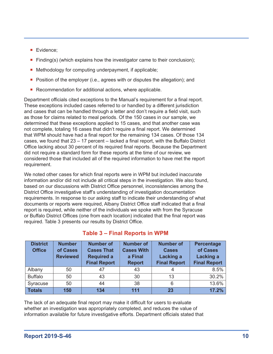- **Evidence;**
- Finding(s) (which explains how the investigator came to their conclusion);
- Methodology for computing underpayment, if applicable;
- **Position of the employer (i.e., agrees with or disputes the allegation); and**
- Recommendation for additional actions, where applicable.

Department officials cited exceptions to the Manual's requirement for a final report. These exceptions included cases referred to or handled by a different jurisdiction and cases that can be handled through a letter and don't require a field visit, such as those for claims related to meal periods. Of the 150 cases in our sample, we determined that these exceptions applied to 15 cases, and that another case was not complete, totaling 16 cases that didn't require a final report. We determined that WPM should have had a final report for the remaining 134 cases. Of those 134 cases, we found that 23 – 17 percent – lacked a final report, with the Buffalo District Office lacking about 30 percent of its required final reports. Because the Department did not require a standard form for these reports at the time of our review, we considered those that included all of the required information to have met the report requirement.

We noted other cases for which final reports were in WPM but included inaccurate information and/or did not include all critical steps in the investigation. We also found, based on our discussions with District Office personnel, inconsistencies among the District Office investigative staff's understanding of investigation documentation requirements. In response to our asking staff to indicate their understanding of what documents or reports were required, Albany District Office staff indicated that a final report is required, while neither of the individuals we spoke with from the Syracuse or Buffalo District Offices (one from each location) indicated that the final report was required. Table 3 presents our results by District Office.

| <b>District</b><br><b>Office</b> | <b>Number</b><br>of Cases<br><b>Reviewed</b> | <b>Number of</b><br><b>Cases That</b><br><b>Required a</b><br><b>Final Report</b> | <b>Number of</b><br><b>Cases With</b><br>a Final<br><b>Report</b> | <b>Number of</b><br><b>Cases</b><br><b>Lacking a</b><br><b>Final Report</b> | <b>Percentage</b><br>of Cases<br><b>Lacking a</b><br><b>Final Report</b> |
|----------------------------------|----------------------------------------------|-----------------------------------------------------------------------------------|-------------------------------------------------------------------|-----------------------------------------------------------------------------|--------------------------------------------------------------------------|
| Albany                           | 50                                           | 47                                                                                | 43                                                                |                                                                             | 8.5%                                                                     |
| <b>Buffalo</b>                   | 50                                           | 43                                                                                | 30                                                                | 13                                                                          | 30.2%                                                                    |
| Syracuse                         | 50                                           | 44                                                                                | 38                                                                | 6                                                                           | 13.6%                                                                    |
| <b>Totals</b>                    | 150                                          | 134                                                                               | 111                                                               | 23                                                                          | 17.2%                                                                    |

#### **Table 3 – Final Reports in WPM**

The lack of an adequate final report may make it difficult for users to evaluate whether an investigation was appropriately completed, and reduces the value of information available for future investigative efforts. Department officials stated that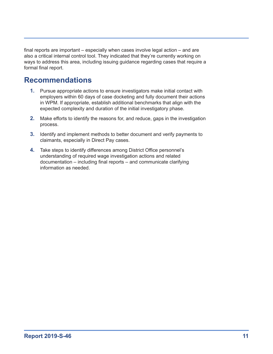<span id="page-11-0"></span>final reports are important – especially when cases involve legal action – and are also a critical internal control tool. They indicated that they're currently working on ways to address this area, including issuing guidance regarding cases that require a formal final report.

## **Recommendations**

- **1.** Pursue appropriate actions to ensure investigators make initial contact with employers within 60 days of case docketing and fully document their actions in WPM. If appropriate, establish additional benchmarks that align with the expected complexity and duration of the initial investigatory phase.
- **2.** Make efforts to identify the reasons for, and reduce, gaps in the investigation process.
- **3.** Identify and implement methods to better document and verify payments to claimants, especially in Direct Pay cases.
- **4.** Take steps to identify differences among District Office personnel's understanding of required wage investigation actions and related documentation – including final reports – and communicate clarifying information as needed.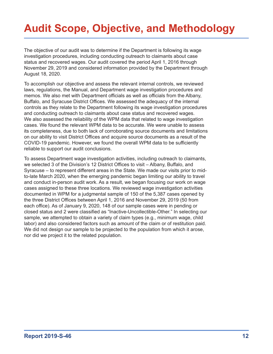# <span id="page-12-0"></span>**Audit Scope, Objective, and Methodology**

The objective of our audit was to determine if the Department is following its wage investigation procedures, including conducting outreach to claimants about case status and recovered wages. Our audit covered the period April 1, 2016 through November 29, 2019 and considered information provided by the Department through August 18, 2020.

To accomplish our objective and assess the relevant internal controls, we reviewed laws, regulations, the Manual, and Department wage investigation procedures and memos. We also met with Department officials as well as officials from the Albany, Buffalo, and Syracuse District Offices. We assessed the adequacy of the internal controls as they relate to the Department following its wage investigation procedures and conducting outreach to claimants about case status and recovered wages. We also assessed the reliability of the WPM data that related to wage investigation cases. We found the relevant WPM data to be accurate. We were unable to assess its completeness, due to both lack of corroborating source documents and limitations on our ability to visit District Offices and acquire source documents as a result of the COVID-19 pandemic. However, we found the overall WPM data to be sufficiently reliable to support our audit conclusions.

To assess Department wage investigation activities, including outreach to claimants, we selected 3 of the Division's 12 District Offices to visit – Albany, Buffalo, and Syracuse – to represent different areas in the State. We made our visits prior to midto-late March 2020, when the emerging pandemic began limiting our ability to travel and conduct in-person audit work. As a result, we began focusing our work on wage cases assigned to these three locations. We reviewed wage investigation activities documented in WPM for a judgmental sample of 150 of the 5,387 cases opened by the three District Offices between April 1, 2016 and November 29, 2019 (50 from each office). As of January 9, 2020, 148 of our sample cases were in pending or closed status and 2 were classified as "Inactive-Uncollectible-Other." In selecting our sample, we attempted to obtain a variety of claim types (e.g., minimum wage, child labor) and also considered factors such as amount of the claim or of restitution paid. We did not design our sample to be projected to the population from which it arose, nor did we project it to the related population.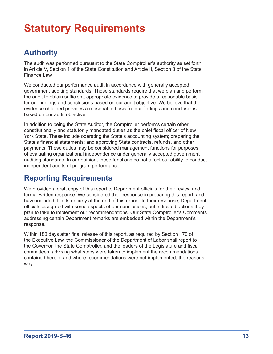# <span id="page-13-0"></span>**Authority**

The audit was performed pursuant to the State Comptroller's authority as set forth in Article V, Section 1 of the State Constitution and Article II, Section 8 of the State Finance Law.

We conducted our performance audit in accordance with generally accepted government auditing standards. Those standards require that we plan and perform the audit to obtain sufficient, appropriate evidence to provide a reasonable basis for our findings and conclusions based on our audit objective. We believe that the evidence obtained provides a reasonable basis for our findings and conclusions based on our audit objective.

In addition to being the State Auditor, the Comptroller performs certain other constitutionally and statutorily mandated duties as the chief fiscal officer of New York State. These include operating the State's accounting system; preparing the State's financial statements; and approving State contracts, refunds, and other payments. These duties may be considered management functions for purposes of evaluating organizational independence under generally accepted government auditing standards. In our opinion, these functions do not affect our ability to conduct independent audits of program performance.

## **Reporting Requirements**

We provided a draft copy of this report to Department officials for their review and formal written response. We considered their response in preparing this report, and have included it in its entirety at the end of this report. In their response, Department officials disagreed with some aspects of our conclusions, but indicated actions they plan to take to implement our recommendations. Our State Comptroller's Comments addressing certain Department remarks are embedded within the Department's response.

Within 180 days after final release of this report, as required by Section 170 of the Executive Law, the Commissioner of the Department of Labor shall report to the Governor, the State Comptroller, and the leaders of the Legislature and fiscal committees, advising what steps were taken to implement the recommendations contained herein, and where recommendations were not implemented, the reasons why.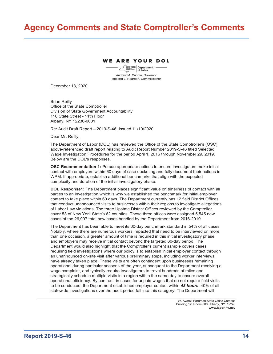## <span id="page-14-0"></span>**Agency Comments and State Comptroller's Comments**

#### **E ARE YOUR DOL**

**Department** of Labor Andrew M. Cuomo, Governor Roberta L. Reardon, Commissioner

December 18, 2020

Brian Reilly Office of the State Comptroller Division of State Government Accountability 110 State Street - 11th Floor Albany, NY 12236-0001

Re: Audit Draft Report – 2019-S-46, Issued 11/19/2020

Dear Mr. Reilly,

The Department of Labor (DOL) has reviewed the Office of the State Comptroller's (OSC) above-referenced draft report relating to Audit Report Number 2019-S-46 titled Selected Wage Investigation Procedures for the period April 1, 2016 through November 29, 2019. Below are the DOL's responses.

**OSC Recommendation 1:** Pursue appropriate actions to ensure investigators make initial contact with employers within 60 days of case docketing and fully document their actions in WPM. If appropriate, establish additional benchmarks that align with the expected complexity and duration of the initial investigatory phase.

**DOL Response1:** The Department places significant value on timeliness of contact with all parties to an investigation which is why we established the benchmark for initial employer contact to take place within 60 days. The Department currently has 12 field District Offices that conduct unannounced visits to businesses within their regions to investigate allegations of Labor Law violations. The three Upstate District Offices reviewed by the Comptroller cover 53 of New York State's 62 counties. These three offices were assigned 5,545 new cases of the 26,907 total new cases handled by the Department from 2016-2019.

The Department has been able to meet its 60-day benchmark standard in 54% of all cases. Notably, where there are numerous workers impacted that need to be interviewed on more than one occasion, a greater amount of time is required in this initial investigatory phase and employers may receive initial contact beyond the targeted 60-day period. The Department would also highlight that the Comptroller's current sample covers cases requiring field investigations where our policy is to establish initial employer contact through an unannounced on-site visit after various preliminary steps, including worker interviews, have already taken place. These visits are often contingent upon businesses remaining operational during particular seasons of the year, subsequent to the Department receiving a wage complaint, and typically require investigators to travel hundreds of miles and strategically schedule multiple visits in a region within the same day to ensure overall operational efficiency. By contrast, in cases for unpaid wages that do not require field visits to be conducted, the Department establishes employer contact within *48 hours*. 40% of all statewide investigations over the audit period fall into this category. The Department will

> W. Averell Harriman State Office Campus Building 12, Room 500, Albany, NY 12240 **www.labor.ny.gov**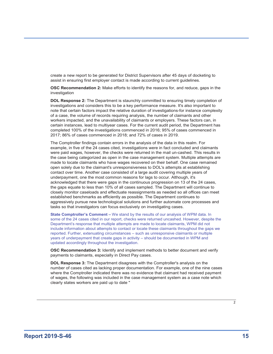create a new report to be generated for District Supervisors after 45 days of docketing to assist in ensuring first employer contact is made according to current guidelines.

**OSC Recommendation 2:** Make efforts to identify the reasons for, and reduce, gaps in the investigation

**DOL Response 2:** The Department is staunchly committed to ensuring timely completion of investigations and considers this to be a key performance measure. It's also important to note that certain factors impact the relative duration of investigations-for instance complexity of a case, the volume of records requiring analysis, the number of claimants and other workers impacted, and the unavailability of claimants or employers. These factors can, in certain instances, lead to multiyear cases. For the current audit period, the Department has completed 100% of the investigations commenced in 2016; 95% of cases commenced in 2017; 86% of cases commenced in 2018; and 72% of cases in 2019.

The Comptroller findings contain errors in the analysis of the data in this realm. For example, in five of the 24 cases cited, investigations were in fact concluded and claimants were paid wages, however, the checks were returned in the mail un-cashed. This results in the case being categorized as open in the case management system. Multiple attempts are made to locate claimants who have wages recovered on their behalf. One case remained open solely due to the claimant's unresponsiveness to DOL's attempts at establishing contact over time. Another case consisted of a large audit covering multiple years of underpayment, one the most common reasons for lags to occur. Although, it's acknowledged that there were gaps in the continuous progression on 13 of the 24 cases, the gaps equate to less than 10% of all cases sampled. The Department will continue to closely monitor caseloads and effectuate reassignments as needed so all offices can meet established benchmarks as efficiently as possible. The Department continues to aggressively pursue new technological solutions and further automate core processes and tasks so that investigators can focus exclusively on investigating cases.

**State Comptroller's Comment –** We stand by the results of our analysis of WPM data. In some of the 24 cases cited in our report, checks were returned uncashed. However, despite the Department's response that multiple attempts are made to locate claimants, WPM did not include information about attempts to contact or locate these claimants throughout the gaps we reported. Further, extenuating circumstances – such as unresponsive claimants or multiple years of underpayment that create gaps in activity – should be documented in WPM and updated accordingly throughout the investigation.

**OSC Recommendation 3:** Identify and implement methods to better document and verify payments to claimants, especially in Direct Pay cases.

**DOL Response 3:** The Department disagrees with the Comptroller's analysis on the number of cases cited as lacking proper documentation. For example, one of the nine cases where the Comptroller indicated there was no evidence that claimant had received payment of wages, the following was included in the case management system as a case note which clearly states workers are paid up to date "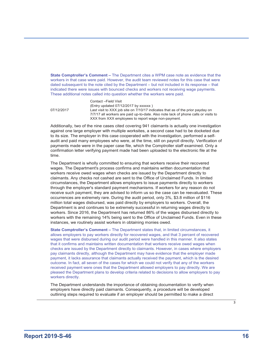**State Comptroller's Comment –** The Department cites a WPM case note as evidence that the workers in that case were paid. However, the audit team reviewed notes for this case that were dated subsequent to the note cited by the Department – but not included in its response – that indicated there were issues with bounced checks and workers not receiving wage payments. These additional notes called into question whether the workers were paid.

Contact –Field Visit (Entry updated 07/12/2017 by xxxxxx ) 07/12/2017 Last visit to XXX job site on 7/10/17 indicates that as of the prior payday on 7/7/17 all workers are paid up-to-date. Also note lack of phone calls or visits to XXX from XXX employees to report wage non-payment.

Additionally, two of the nine cases cited covering 941 claimants is actually one investigation against one large employer with multiple worksites, a second case had to be docketed due to its size. The employer in this case cooperated with the investigation, performed a selfaudit and paid many employees who were, at the time, still on payroll directly. Verification of payments made were in the paper case file, which the Comptroller staff examined. Only a confirmation letter verifying payment made had been uploaded to the electronic file at the time.

The Department is wholly committed to ensuring that workers receive their recovered wages. The Department's process confirms and maintains written documentation that workers receive owed wages when checks are issued by the Department directly to claimants. Any checks not cashed are sent to the Office of Unclaimed Funds. In limited circumstances, the Department allows employers to issue payments directly to workers through the employer's standard payment mechanisms. If workers for any reason do not receive such payment, they are advised to inform us so the case can be reevaluated. These occurrences are extremely rare. During the audit period, only 3%, \$3.8 million of \$116 million total wages disbursed, was paid directly by employers to workers. Overall, the Department is and continues to be extremely successful in returning wages directly to workers. Since 2016, the Department has returned 86% of the wages disbursed directly to workers with the remaining 14% being sent to the Office of Unclaimed Funds. Even in these instances, we routinely assist workers in obtaining monies owed.

**State Comptroller's Comment –** The Department states that, in limited circumstances, it allows employers to pay workers directly for recovered wages, and that 3 percent of recovered wages that were disbursed during our audit period were handled in this manner. It also states that it confirms and maintains written documentation that workers receive owed wages when checks are issued by the Department directly to claimants. However, in cases where employers pay claimants directly, although the Department may have evidence that the employer made payment, it lacks assurance that claimants actually received the payment, which is the desired outcome. In fact, all seven of the cases for which we could not verify that any of the workers received payment were ones that the Department allowed employers to pay directly. We are pleased the Department plans to develop criteria related to decisions to allow employers to pay workers directly.

The Department understands the importance of obtaining documentation to verify when employers have directly paid claimants. Consequently, a procedure will be developed outlining steps required to evaluate if an employer should be permitted to make a direct

3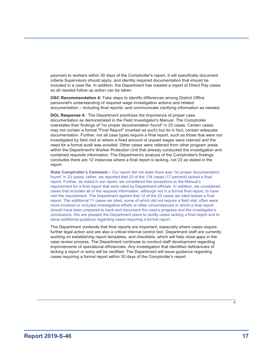payment to workers within 30 days of the Comptroller's report. It will specifically document criteria Supervisors should apply, and identity required documentation that should be included in a case file. In addition, the Department has created a report of Direct Pay cases so all needed follow up action can be taken.

**OSC Recommendation 4:** Take steps to identify differences among District Office personnel's understanding of required wage investigation actions and related documentation – including final reports -and communicate clarifying information as needed.

**DOL Response 4:** The Department prioritizes the importance of proper case documentation as demonstrated in the Field Investigator's Manual. The Comptroller overstates their findings of "no proper documentation found" in 23 cases. Certain cases may not contain a formal "Final Report" (marked as such) but do in fact, contain adequate documentation. Further, not all case types require a final report, such as those that were not investigated by field visit or where a fixed amount of unpaid wages were claimed and the need for a formal audit was avoided. Other cases were referred from other program areas within the Department's Worker Protection Unit that already conducted the investigation and contained requisite information. The Department's analysis of the Comptroller's findings concludes there are 12 instances where a final report is lacking, not 23 as stated in the report.

**State Comptroller's Comment –** Our report did not state there was "no proper documentation found" in 23 cases; rather, we reported that 23 of the 134 cases (17 percent) lacked a final report. Further, as noted in our report, we considered the exceptions to the Manual's requirement for a final report that were cited by Department officials. In addition, we considered cases that included all of the required information, although not in a formal final report, to have met the requirement. The Department agreed that 12 of the 23 cases we cited lacked a final report. The additional 11 cases we cited, some of which did not require a field visit, often were more involved or included investigative efforts or other circumstances in which a final report should have been prepared to track and document the case's progress and the investigator's conclusions. We are pleased the Department plans to rectify cases lacking a final report and to issue additional guidance regarding cases requiring a formal report.

The Department contends that final reports are important, especially where cases require further legal action and are also a critical internal control tool. Department staff are currently working on establishing report templates, and checklists, which will help close gaps in the case review process. The Department continues to conduct staff development regarding improvements of operational efficiencies. Any investigation that identified deficiencies of lacking a report or entry will be rectified. The Department will issue guidance regarding cases requiring a formal report within 30 days of the Comptroller's report.

4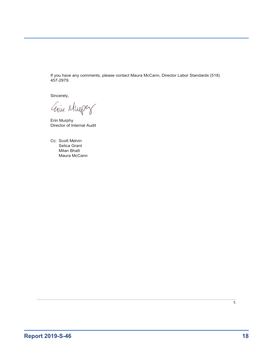If you have any comments, please contact Maura McCann, Director Labor Standards (518) 457-2979.

Sincerely,

Gim Murper

Erin Murphy Director of Internal Audit

Cc: Scott Melvin Selica Grant Milan Bhatt Maura McCann